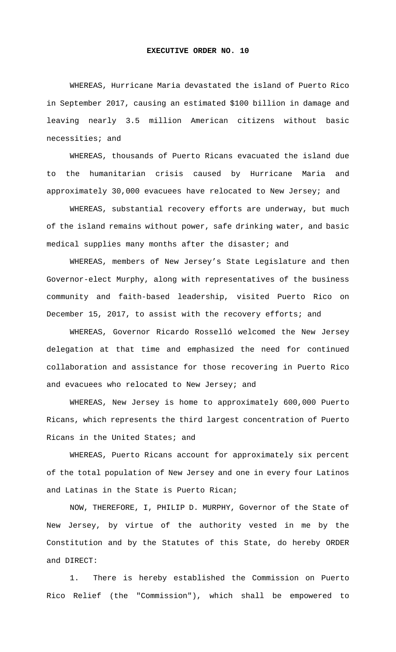## **EXECUTIVE ORDER NO. 10**

 WHEREAS, Hurricane Maria devastated the island of Puerto Rico in September 2017, causing an estimated \$100 billion in damage and leaving nearly 3.5 million American citizens without basic necessities; and

 WHEREAS, thousands of Puerto Ricans evacuated the island due to the humanitarian crisis caused by Hurricane Maria and approximately 30,000 evacuees have relocated to New Jersey; and

 WHEREAS, substantial recovery efforts are underway, but much of the island remains without power, safe drinking water, and basic medical supplies many months after the disaster; and

 WHEREAS, members of New Jersey's State Legislature and then Governor-elect Murphy, along with representatives of the business community and faith-based leadership, visited Puerto Rico on December 15, 2017, to assist with the recovery efforts; and

 WHEREAS, Governor Ricardo Rosselló welcomed the New Jersey delegation at that time and emphasized the need for continued collaboration and assistance for those recovering in Puerto Rico and evacuees who relocated to New Jersey; and

 WHEREAS, New Jersey is home to approximately 600,000 Puerto Ricans, which represents the third largest concentration of Puerto Ricans in the United States; and

 WHEREAS, Puerto Ricans account for approximately six percent of the total population of New Jersey and one in every four Latinos and Latinas in the State is Puerto Rican;

 NOW, THEREFORE, I, PHILIP D. MURPHY, Governor of the State of New Jersey, by virtue of the authority vested in me by the Constitution and by the Statutes of this State, do hereby ORDER and DIRECT:

1. There is hereby established the Commission on Puerto Rico Relief (the "Commission"), which shall be empowered to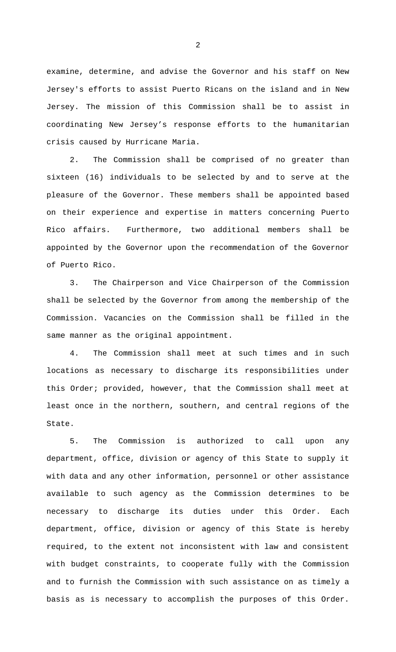examine, determine, and advise the Governor and his staff on New Jersey's efforts to assist Puerto Ricans on the island and in New Jersey. The mission of this Commission shall be to assist in coordinating New Jersey's response efforts to the humanitarian crisis caused by Hurricane Maria.

2. The Commission shall be comprised of no greater than sixteen (16) individuals to be selected by and to serve at the pleasure of the Governor. These members shall be appointed based on their experience and expertise in matters concerning Puerto Rico affairs. Furthermore, two additional members shall be appointed by the Governor upon the recommendation of the Governor of Puerto Rico.

3. The Chairperson and Vice Chairperson of the Commission shall be selected by the Governor from among the membership of the Commission. Vacancies on the Commission shall be filled in the same manner as the original appointment.

4. The Commission shall meet at such times and in such locations as necessary to discharge its responsibilities under this Order; provided, however, that the Commission shall meet at least once in the northern, southern, and central regions of the State.

5. The Commission is authorized to call upon any department, office, division or agency of this State to supply it with data and any other information, personnel or other assistance available to such agency as the Commission determines to be necessary to discharge its duties under this Order. Each department, office, division or agency of this State is hereby required, to the extent not inconsistent with law and consistent with budget constraints, to cooperate fully with the Commission and to furnish the Commission with such assistance on as timely a basis as is necessary to accomplish the purposes of this Order.

2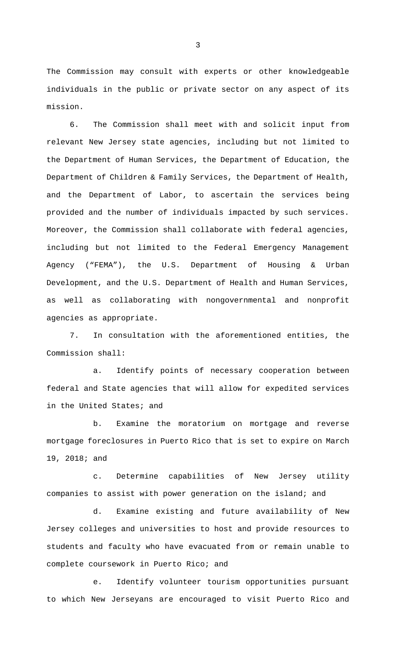The Commission may consult with experts or other knowledgeable individuals in the public or private sector on any aspect of its mission.

6. The Commission shall meet with and solicit input from relevant New Jersey state agencies, including but not limited to the Department of Human Services, the Department of Education, the Department of Children & Family Services, the Department of Health, and the Department of Labor, to ascertain the services being provided and the number of individuals impacted by such services. Moreover, the Commission shall collaborate with federal agencies, including but not limited to the Federal Emergency Management Agency ("FEMA"), the U.S. Department of Housing & Urban Development, and the U.S. Department of Health and Human Services, as well as collaborating with nongovernmental and nonprofit agencies as appropriate.

7. In consultation with the aforementioned entities, the Commission shall:

a. Identify points of necessary cooperation between federal and State agencies that will allow for expedited services in the United States; and

b. Examine the moratorium on mortgage and reverse mortgage foreclosures in Puerto Rico that is set to expire on March 19, 2018; and

c. Determine capabilities of New Jersey utility companies to assist with power generation on the island; and

d. Examine existing and future availability of New Jersey colleges and universities to host and provide resources to students and faculty who have evacuated from or remain unable to complete coursework in Puerto Rico; and

e. Identify volunteer tourism opportunities pursuant to which New Jerseyans are encouraged to visit Puerto Rico and

3